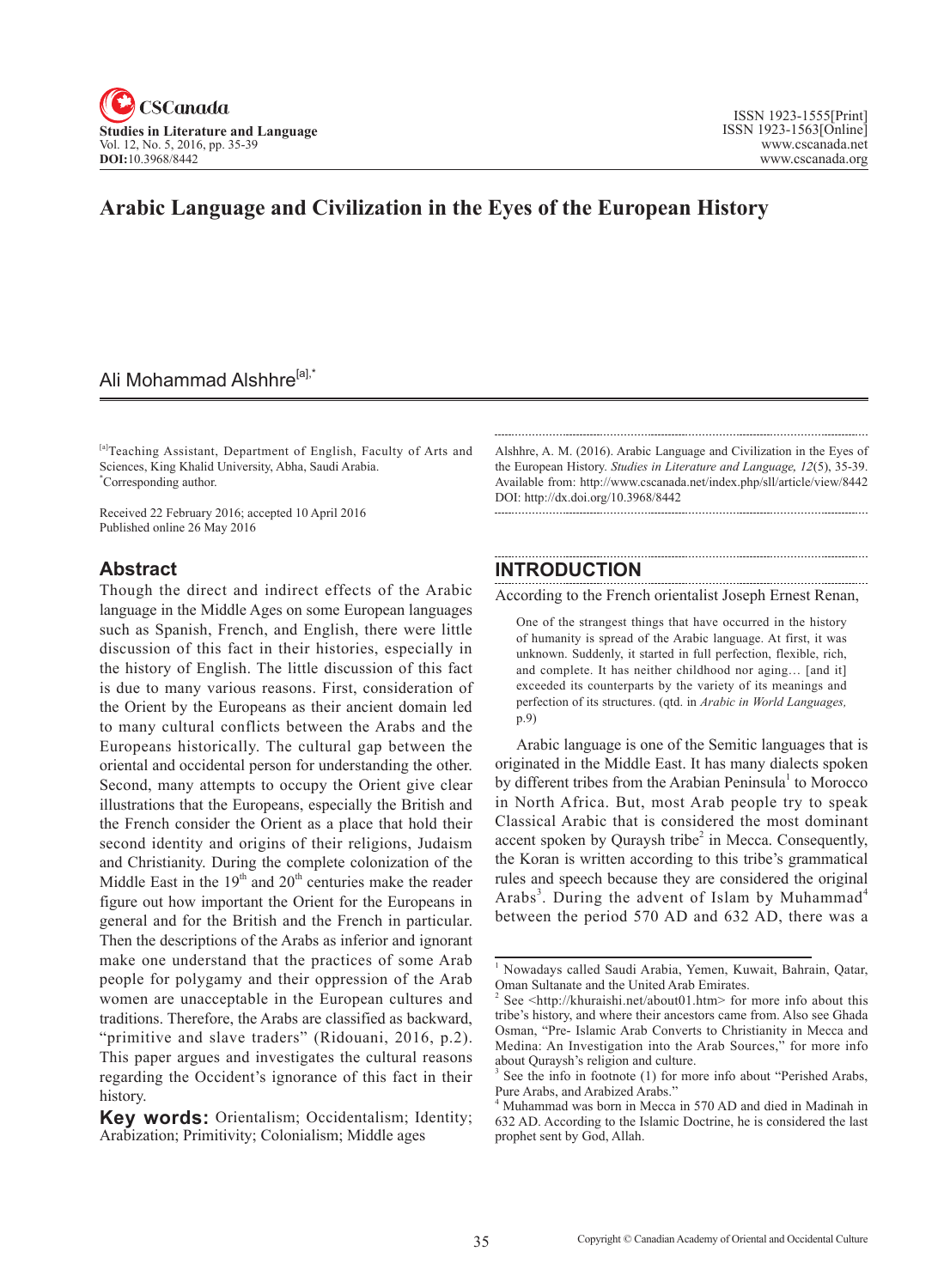

## **Arabic Language and Civilization in the Eyes of the European History**

## Ali Mohammad Alshhre<sup>[a],\*</sup>

[a]Teaching Assistant, Department of English, Faculty of Arts and Sciences, King Khalid University, Abha, Saudi Arabia. \* Corresponding author.

Received 22 February 2016; accepted 10 April 2016 Published online 26 May 2016

#### **Abstract**

Though the direct and indirect effects of the Arabic language in the Middle Ages on some European languages such as Spanish, French, and English, there were little discussion of this fact in their histories, especially in the history of English. The little discussion of this fact is due to many various reasons. First, consideration of the Orient by the Europeans as their ancient domain led to many cultural conflicts between the Arabs and the Europeans historically. The cultural gap between the oriental and occidental person for understanding the other. Second, many attempts to occupy the Orient give clear illustrations that the Europeans, especially the British and the French consider the Orient as a place that hold their second identity and origins of their religions, Judaism and Christianity. During the complete colonization of the Middle East in the  $19<sup>th</sup>$  and  $20<sup>th</sup>$  centuries make the reader figure out how important the Orient for the Europeans in general and for the British and the French in particular. Then the descriptions of the Arabs as inferior and ignorant make one understand that the practices of some Arab people for polygamy and their oppression of the Arab women are unacceptable in the European cultures and traditions. Therefore, the Arabs are classified as backward, "primitive and slave traders" (Ridouani, 2016, p.2). This paper argues and investigates the cultural reasons regarding the Occident's ignorance of this fact in their history.

Alshhre, A. M. (2016). Arabic Language and Civilization in the Eyes of the European History. *Studies in Literature and Language*, <sup>12</sup>(5), 35-39. Available from: http://www.cscanada.net/index.php/sll/article/view/8442 DOI: http://dx.doi.org/10.3968/8442

### **INTRODUCTION**

According to the French orientalist Joseph Ernest Renan,

One of the strangest things that have occurred in the history of humanity is spread of the Arabic language. At first, it was unknown. Suddenly, it started in full perfection, flexible, rich, and complete. It has neither childhood nor aging… [and it] exceeded its counterparts by the variety of its meanings and perfection of its structures. (qtd. in *Arabic in World Languages,*  p.9)

Arabic language is one of the Semitic languages that is originated in the Middle East. It has many dialects spoken by different tribes from the Arabian Peninsula<sup>1</sup> to Morocco in North Africa. But, most Arab people try to speak Classical Arabic that is considered the most dominant accent spoken by Quraysh tribe<sup>2</sup> in Mecca. Consequently, the Koran is written according to this tribe's grammatical rules and speech because they are considered the original Arabs<sup>3</sup>. During the advent of Islam by Muhammad<sup>4</sup> between the period 570 AD and 632 AD, there was a

**Key words:** Orientalism; Occidentalism; Identity; Arabization; Primitivity; Colonialism; Middle ages

<sup>1</sup> Nowadays called Saudi Arabia, Yemen, Kuwait, Bahrain, Qatar, Oman Sultanate and the United Arab Emirates.

<sup>&</sup>lt;sup>2</sup> See  $\leq$ http://khuraishi.net/about01.htm> for more info about this tribe's history, and where their ancestors came from. Also see Ghada Osman, "Pre- Islamic Arab Converts to Christianity in Mecca and Medina: An Investigation into the Arab Sources," for more info about Quraysh's religion and culture.

<sup>3</sup> See the info in footnote (1) for more info about "Perished Arabs, Pure Arabs, and Arabized Arabs."

<sup>4</sup> Muhammad was born in Mecca in 570 AD and died in Madinah in 632 AD. According to the Islamic Doctrine, he is considered the last prophet sent by God, Allah.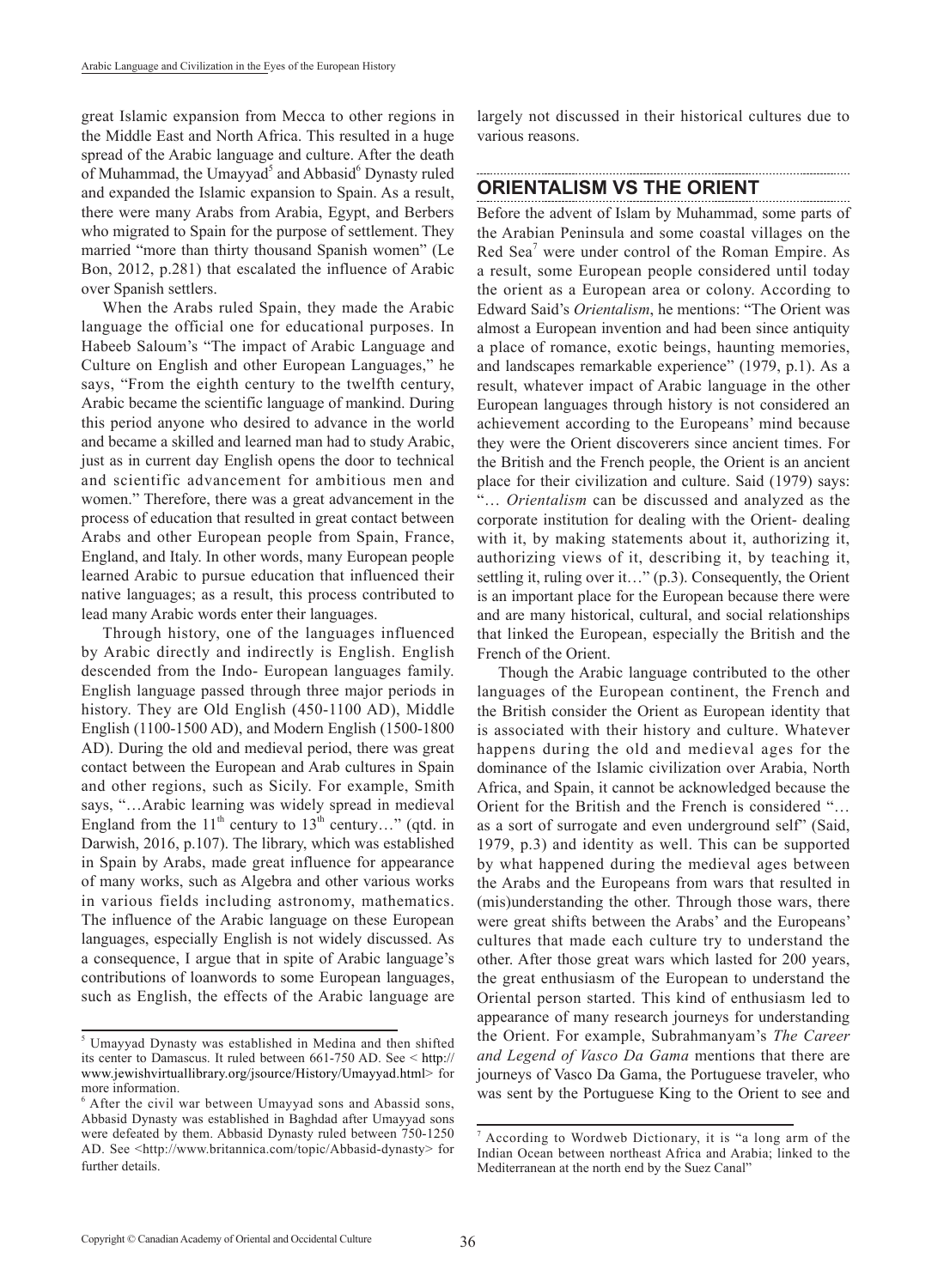great Islamic expansion from Mecca to other regions in the Middle East and North Africa. This resulted in a huge spread of the Arabic language and culture. After the death of Muhammad, the Umayyad<sup>5</sup> and Abbasid<sup>6</sup> Dynasty ruled and expanded the Islamic expansion to Spain. As a result, there were many Arabs from Arabia, Egypt, and Berbers who migrated to Spain for the purpose of settlement. They married "more than thirty thousand Spanish women" (Le Bon, 2012, p.281) that escalated the influence of Arabic over Spanish settlers.

When the Arabs ruled Spain, they made the Arabic language the official one for educational purposes. In Habeeb Saloum's "The impact of Arabic Language and Culture on English and other European Languages," he says, "From the eighth century to the twelfth century, Arabic became the scientific language of mankind. During this period anyone who desired to advance in the world and became a skilled and learned man had to study Arabic, just as in current day English opens the door to technical and scientific advancement for ambitious men and women." Therefore, there was a great advancement in the process of education that resulted in great contact between Arabs and other European people from Spain, France, England, and Italy. In other words, many European people learned Arabic to pursue education that influenced their native languages; as a result, this process contributed to lead many Arabic words enter their languages.

Through history, one of the languages influenced by Arabic directly and indirectly is English. English descended from the Indo- European languages family. English language passed through three major periods in history. They are Old English (450-1100 AD), Middle English (1100-1500 AD), and Modern English (1500-1800 AD). During the old and medieval period, there was great contact between the European and Arab cultures in Spain and other regions, such as Sicily. For example, Smith says, "…Arabic learning was widely spread in medieval England from the  $11<sup>th</sup>$  century to  $13<sup>th</sup>$  century..." (qtd. in Darwish, 2016, p.107). The library, which was established in Spain by Arabs, made great influence for appearance of many works, such as Algebra and other various works in various fields including astronomy, mathematics. The influence of the Arabic language on these European languages, especially English is not widely discussed. As a consequence, I argue that in spite of Arabic language's contributions of loanwords to some European languages, such as English, the effects of the Arabic language are

largely not discussed in their historical cultures due to various reasons.

# **ORIENTALISM VS THE ORIENT**

Before the advent of Islam by Muhammad, some parts of the Arabian Peninsula and some coastal villages on the Red Sea<sup>7</sup> were under control of the Roman Empire. As a result, some European people considered until today the orient as a European area or colony. According to Edward Said's *Orientalism*, he mentions: "The Orient was almost a European invention and had been since antiquity a place of romance, exotic beings, haunting memories, and landscapes remarkable experience" (1979, p.1). As a result, whatever impact of Arabic language in the other European languages through history is not considered an achievement according to the Europeans' mind because they were the Orient discoverers since ancient times. For the British and the French people, the Orient is an ancient place for their civilization and culture. Said (1979) says: "… *Orientalism* can be discussed and analyzed as the corporate institution for dealing with the Orient- dealing with it, by making statements about it, authorizing it, authorizing views of it, describing it, by teaching it, settling it, ruling over it…" (p.3). Consequently, the Orient is an important place for the European because there were and are many historical, cultural, and social relationships that linked the European, especially the British and the French of the Orient.

Though the Arabic language contributed to the other languages of the European continent, the French and the British consider the Orient as European identity that is associated with their history and culture. Whatever happens during the old and medieval ages for the dominance of the Islamic civilization over Arabia, North Africa, and Spain, it cannot be acknowledged because the Orient for the British and the French is considered "… as a sort of surrogate and even underground self" (Said, 1979, p.3) and identity as well. This can be supported by what happened during the medieval ages between the Arabs and the Europeans from wars that resulted in (mis)understanding the other. Through those wars, there were great shifts between the Arabs' and the Europeans' cultures that made each culture try to understand the other. After those great wars which lasted for 200 years, the great enthusiasm of the European to understand the Oriental person started. This kind of enthusiasm led to appearance of many research journeys for understanding the Orient. For example, Subrahmanyam's *The Career and Legend of Vasco Da Gama* mentions that there are journeys of Vasco Da Gama, the Portuguese traveler, who was sent by the Portuguese King to the Orient to see and

<sup>5</sup> Umayyad Dynasty was established in Medina and then shifted its center to Damascus. It ruled between 661-750 AD. See < http:// www.jewishvirtuallibrary.org/jsource/History/Umayyad.html> for more information.

<sup>6</sup> After the civil war between Umayyad sons and Abassid sons, Abbasid Dynasty was established in Baghdad after Umayyad sons were defeated by them. Abbasid Dynasty ruled between 750-1250 AD. See <http://www.britannica.com/topic/Abbasid-dynasty> for further details.

<sup>7</sup> According to Wordweb Dictionary, it is "a long arm of the Indian Ocean between northeast Africa and Arabia; linked to the Mediterranean at the north end by the Suez Canal"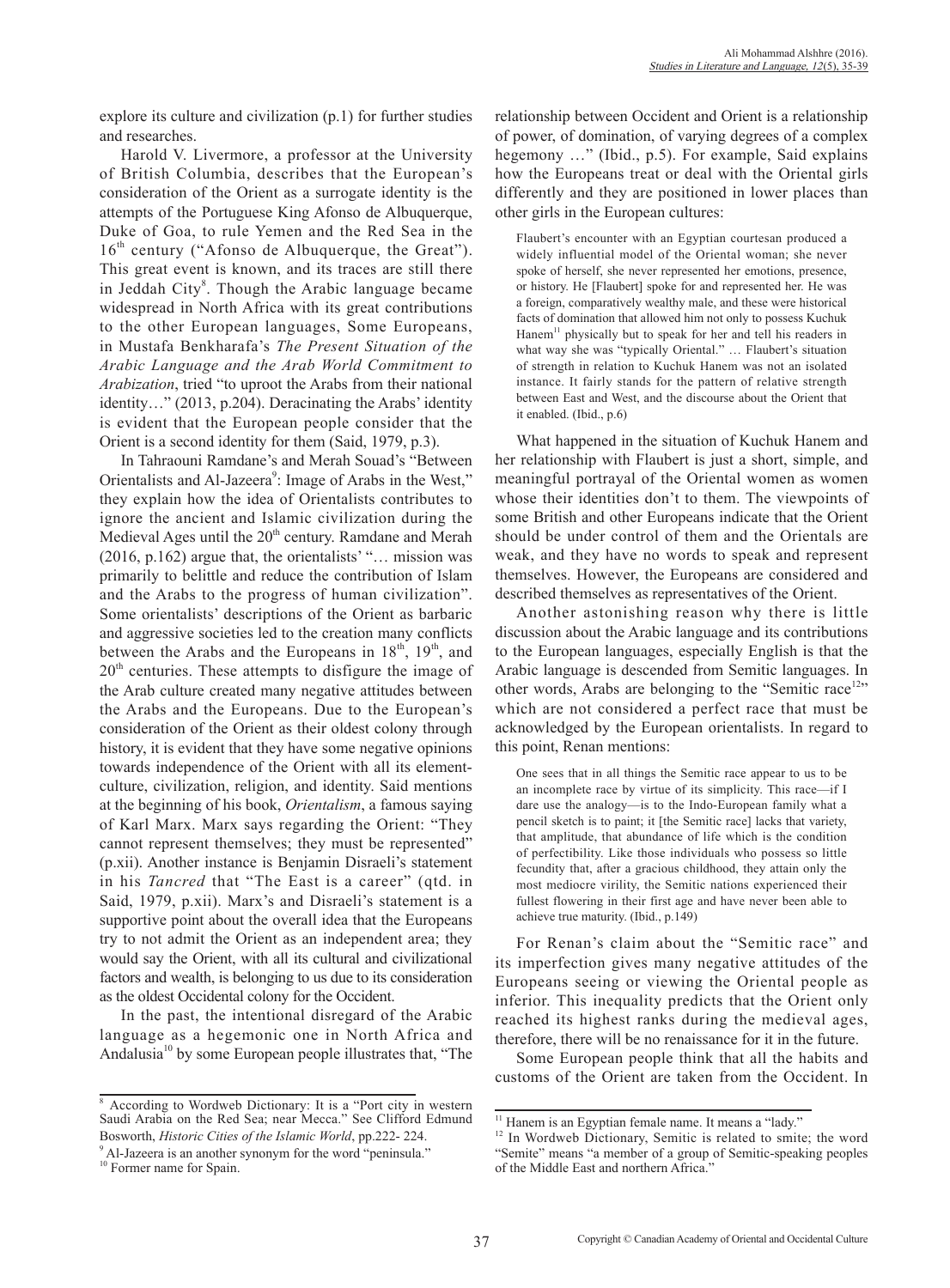explore its culture and civilization (p.1) for further studies and researches.

Harold V. Livermore, a professor at the University of British Columbia, describes that the European's consideration of the Orient as a surrogate identity is the attempts of the Portuguese King Afonso de Albuquerque, Duke of Goa, to rule Yemen and the Red Sea in the  $16<sup>th</sup>$  century ("Afonso de Albuquerque, the Great"). This great event is known, and its traces are still there in Jeddah City $^8$ . Though the Arabic language became widespread in North Africa with its great contributions to the other European languages, Some Europeans, in Mustafa Benkharafa's *The Present Situation of the Arabic Language and the Arab World Commitment to Arabization*, tried "to uproot the Arabs from their national identity…" (2013, p.204). Deracinating the Arabs' identity is evident that the European people consider that the Orient is a second identity for them (Said, 1979, p.3).

In Tahraouni Ramdane's and Merah Souad's "Between Orientalists and Al-Jazeera<sup>9</sup>: Image of Arabs in the West," they explain how the idea of Orientalists contributes to ignore the ancient and Islamic civilization during the Medieval Ages until the  $20<sup>th</sup>$  century. Ramdane and Merah (2016, p.162) argue that, the orientalists' "… mission was primarily to belittle and reduce the contribution of Islam and the Arabs to the progress of human civilization". Some orientalists' descriptions of the Orient as barbaric and aggressive societies led to the creation many conflicts between the Arabs and the Europeans in  $18<sup>th</sup>$ ,  $19<sup>th</sup>$ , and  $20<sup>th</sup>$  centuries. These attempts to disfigure the image of the Arab culture created many negative attitudes between the Arabs and the Europeans. Due to the European's consideration of the Orient as their oldest colony through history, it is evident that they have some negative opinions towards independence of the Orient with all its elementculture, civilization, religion, and identity. Said mentions at the beginning of his book, *Orientalism*, a famous saying of Karl Marx. Marx says regarding the Orient: "They cannot represent themselves; they must be represented" (p.xii). Another instance is Benjamin Disraeli's statement in his *Tancred* that "The East is a career" (qtd. in Said, 1979, p.xii). Marx's and Disraeli's statement is a supportive point about the overall idea that the Europeans try to not admit the Orient as an independent area; they would say the Orient, with all its cultural and civilizational factors and wealth, is belonging to us due to its consideration as the oldest Occidental colony for the Occident.

In the past, the intentional disregard of the Arabic language as a hegemonic one in North Africa and Andalusia<sup>10</sup> by some European people illustrates that, "The relationship between Occident and Orient is a relationship of power, of domination, of varying degrees of a complex hegemony …" (Ibid., p.5). For example, Said explains how the Europeans treat or deal with the Oriental girls differently and they are positioned in lower places than other girls in the European cultures:

Flaubert's encounter with an Egyptian courtesan produced a widely influential model of the Oriental woman; she never spoke of herself, she never represented her emotions, presence, or history. He [Flaubert] spoke for and represented her. He was a foreign, comparatively wealthy male, and these were historical facts of domination that allowed him not only to possess Kuchuk  $\text{Hanem}^{11}$  physically but to speak for her and tell his readers in what way she was "typically Oriental." … Flaubert's situation of strength in relation to Kuchuk Hanem was not an isolated instance. It fairly stands for the pattern of relative strength between East and West, and the discourse about the Orient that it enabled. (Ibid., p.6)

What happened in the situation of Kuchuk Hanem and her relationship with Flaubert is just a short, simple, and meaningful portrayal of the Oriental women as women whose their identities don't to them. The viewpoints of some British and other Europeans indicate that the Orient should be under control of them and the Orientals are weak, and they have no words to speak and represent themselves. However, the Europeans are considered and described themselves as representatives of the Orient.

Another astonishing reason why there is little discussion about the Arabic language and its contributions to the European languages, especially English is that the Arabic language is descended from Semitic languages. In other words, Arabs are belonging to the "Semitic race<sup>12</sup>" which are not considered a perfect race that must be acknowledged by the European orientalists. In regard to this point, Renan mentions:

One sees that in all things the Semitic race appear to us to be an incomplete race by virtue of its simplicity. This race—if I dare use the analogy—is to the Indo-European family what a pencil sketch is to paint; it [the Semitic race] lacks that variety, that amplitude, that abundance of life which is the condition of perfectibility. Like those individuals who possess so little fecundity that, after a gracious childhood, they attain only the most mediocre virility, the Semitic nations experienced their fullest flowering in their first age and have never been able to achieve true maturity. (Ibid., p.149)

For Renan's claim about the "Semitic race" and its imperfection gives many negative attitudes of the Europeans seeing or viewing the Oriental people as inferior. This inequality predicts that the Orient only reached its highest ranks during the medieval ages, therefore, there will be no renaissance for it in the future.

Some European people think that all the habits and customs of the Orient are taken from the Occident. In

<sup>8</sup> According to Wordweb Dictionary: It is a "Port city in western Saudi Arabia on the Red Sea; near Mecca." See Clifford Edmund Bosworth, *Historic Cities of the Islamic World*, pp.222- 224.

<sup>&</sup>lt;sup>9</sup> Al-Jazeera is an another synonym for the word "peninsula."

<sup>&</sup>lt;sup>10</sup> Former name for Spain.

<sup>&</sup>lt;sup>11</sup> Hanem is an Egyptian female name. It means a "lady."

<sup>&</sup>lt;sup>12</sup> In Wordweb Dictionary, Semitic is related to smite; the word "Semite" means "a member of a group of Semitic-speaking peoples of the Middle East and northern Africa."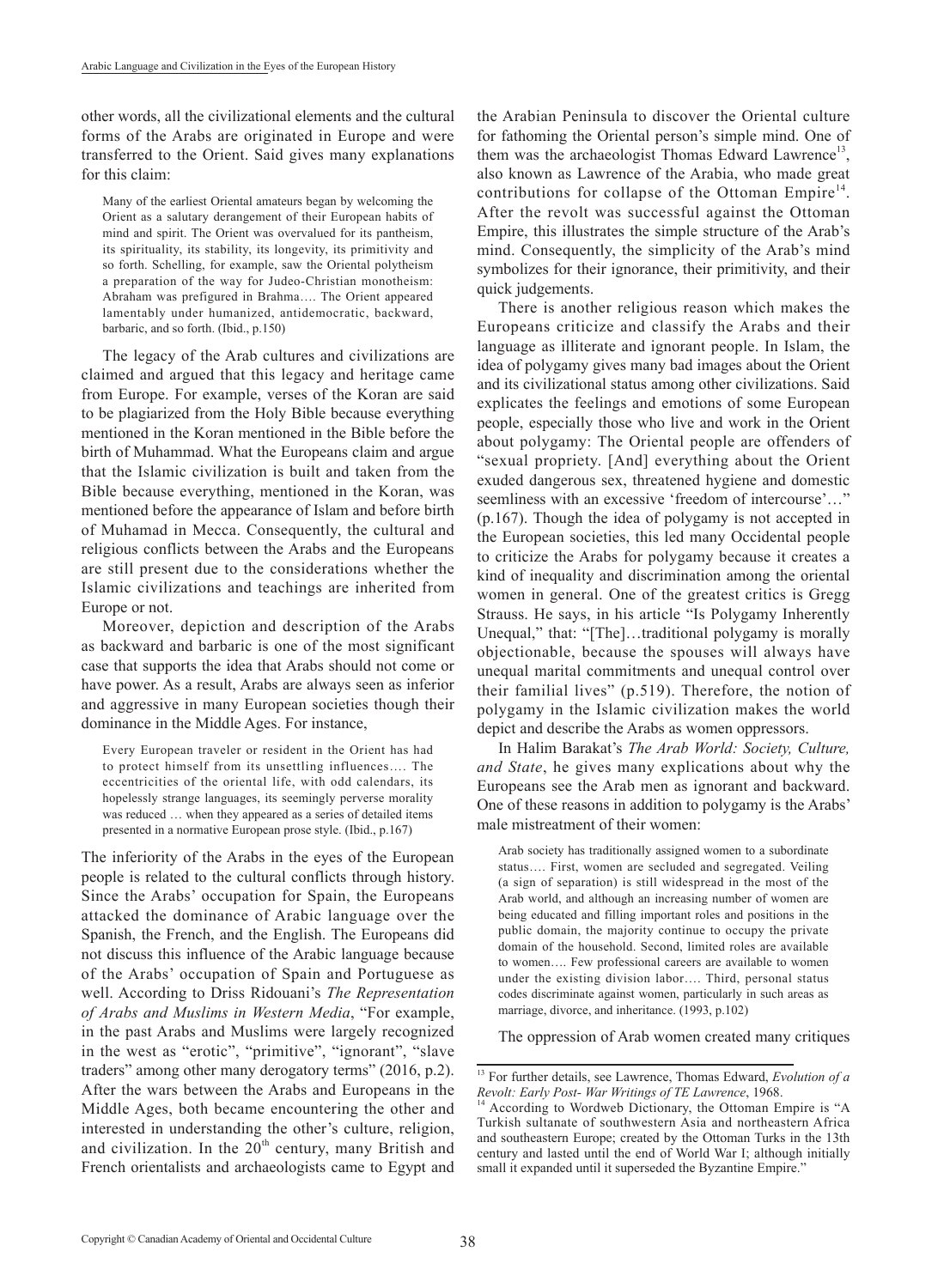other words, all the civilizational elements and the cultural forms of the Arabs are originated in Europe and were transferred to the Orient. Said gives many explanations for this claim:

Many of the earliest Oriental amateurs began by welcoming the Orient as a salutary derangement of their European habits of mind and spirit. The Orient was overvalued for its pantheism, its spirituality, its stability, its longevity, its primitivity and so forth. Schelling, for example, saw the Oriental polytheism a preparation of the way for Judeo-Christian monotheism: Abraham was prefigured in Brahma…. The Orient appeared lamentably under humanized, antidemocratic, backward, barbaric, and so forth. (Ibid., p.150)

The legacy of the Arab cultures and civilizations are claimed and argued that this legacy and heritage came from Europe. For example, verses of the Koran are said to be plagiarized from the Holy Bible because everything mentioned in the Koran mentioned in the Bible before the birth of Muhammad. What the Europeans claim and argue that the Islamic civilization is built and taken from the Bible because everything, mentioned in the Koran, was mentioned before the appearance of Islam and before birth of Muhamad in Mecca. Consequently, the cultural and religious conflicts between the Arabs and the Europeans are still present due to the considerations whether the Islamic civilizations and teachings are inherited from Europe or not.

Moreover, depiction and description of the Arabs as backward and barbaric is one of the most significant case that supports the idea that Arabs should not come or have power. As a result, Arabs are always seen as inferior and aggressive in many European societies though their dominance in the Middle Ages. For instance,

Every European traveler or resident in the Orient has had to protect himself from its unsettling influences…. The eccentricities of the oriental life, with odd calendars, its hopelessly strange languages, its seemingly perverse morality was reduced … when they appeared as a series of detailed items presented in a normative European prose style. (Ibid., p.167)

The inferiority of the Arabs in the eyes of the European people is related to the cultural conflicts through history. Since the Arabs' occupation for Spain, the Europeans attacked the dominance of Arabic language over the Spanish, the French, and the English. The Europeans did not discuss this influence of the Arabic language because of the Arabs' occupation of Spain and Portuguese as well. According to Driss Ridouani's *The Representation of Arabs and Muslims in Western Media*, "For example, in the past Arabs and Muslims were largely recognized in the west as "erotic", "primitive", "ignorant", "slave traders" among other many derogatory terms" (2016, p.2). After the wars between the Arabs and Europeans in the Middle Ages, both became encountering the other and interested in understanding the other's culture, religion, and civilization. In the  $20<sup>th</sup>$  century, many British and French orientalists and archaeologists came to Egypt and

the Arabian Peninsula to discover the Oriental culture for fathoming the Oriental person's simple mind. One of them was the archaeologist Thomas Edward Lawrence<sup>13</sup>, also known as Lawrence of the Arabia, who made great contributions for collapse of the Ottoman Empire<sup>14</sup>. After the revolt was successful against the Ottoman Empire, this illustrates the simple structure of the Arab's mind. Consequently, the simplicity of the Arab's mind symbolizes for their ignorance, their primitivity, and their quick judgements.

There is another religious reason which makes the Europeans criticize and classify the Arabs and their language as illiterate and ignorant people. In Islam, the idea of polygamy gives many bad images about the Orient and its civilizational status among other civilizations. Said explicates the feelings and emotions of some European people, especially those who live and work in the Orient about polygamy: The Oriental people are offenders of "sexual propriety. [And] everything about the Orient exuded dangerous sex, threatened hygiene and domestic seemliness with an excessive 'freedom of intercourse'…" (p.167). Though the idea of polygamy is not accepted in the European societies, this led many Occidental people to criticize the Arabs for polygamy because it creates a kind of inequality and discrimination among the oriental women in general. One of the greatest critics is Gregg Strauss. He says, in his article "Is Polygamy Inherently Unequal," that: "[The]…traditional polygamy is morally objectionable, because the spouses will always have unequal marital commitments and unequal control over their familial lives" (p.519). Therefore, the notion of polygamy in the Islamic civilization makes the world depict and describe the Arabs as women oppressors.

In Halim Barakat's *The Arab World: Society, Culture, and State*, he gives many explications about why the Europeans see the Arab men as ignorant and backward. One of these reasons in addition to polygamy is the Arabs' male mistreatment of their women:

Arab society has traditionally assigned women to a subordinate status…. First, women are secluded and segregated. Veiling (a sign of separation) is still widespread in the most of the Arab world, and although an increasing number of women are being educated and filling important roles and positions in the public domain, the majority continue to occupy the private domain of the household. Second, limited roles are available to women…. Few professional careers are available to women under the existing division labor…. Third, personal status codes discriminate against women, particularly in such areas as marriage, divorce, and inheritance. (1993, p.102)

The oppression of Arab women created many critiques

<sup>&</sup>lt;sup>13</sup> For further details, see Lawrence, Thomas Edward, *Evolution of a* 

*Revolt: Early Post- War Writings of TE Lawrence*, 1968.<br><sup>14</sup> According to Wordweb Dictionary, the Ottoman Empire is "A Turkish sultanate of southwestern Asia and northeastern Africa and southeastern Europe; created by the Ottoman Turks in the 13th century and lasted until the end of World War I; although initially small it expanded until it superseded the Byzantine Empire."